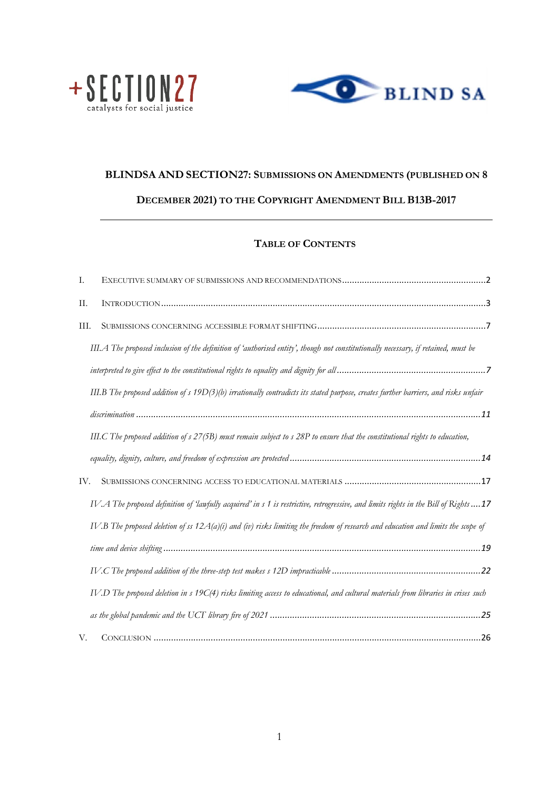



# **BLINDSA AND SECTION27: SUBMISSIONS ON AMENDMENTS (PUBLISHED ON 8 DECEMBER 2021) TO THE COPYRIGHT AMENDMENT BILL B13B-2017**

# **TABLE OF CONTENTS**

| Ι.   |                                                                                                                                     |  |
|------|-------------------------------------------------------------------------------------------------------------------------------------|--|
| II.  |                                                                                                                                     |  |
| III. |                                                                                                                                     |  |
|      | III.A The proposed inclusion of the definition of 'authorised entity', though not constitutionally necessary, if retained, must be  |  |
|      |                                                                                                                                     |  |
|      | III.B The proposed addition of s 19D(3)(b) irrationally contradicts its stated purpose, creates further barriers, and risks unfair  |  |
|      |                                                                                                                                     |  |
|      | III.C The proposed addition of s 27(5B) must remain subject to s 28P to ensure that the constitutional rights to education,         |  |
|      |                                                                                                                                     |  |
| IV.  |                                                                                                                                     |  |
|      | IV.A The proposed definition of 'lawfully acquired' in s 1 is restrictive, retrogressive, and limits rights in the Bill of Rights17 |  |
|      | IV.B The proposed deletion of ss $12A(a)(i)$ and (iv) risks limiting the freedom of research and education and limits the scope of  |  |
|      |                                                                                                                                     |  |
|      |                                                                                                                                     |  |
|      | IV.D The proposed deletion in s 19C(4) risks limiting access to educational, and cultural materials from libraries in crises such   |  |
|      |                                                                                                                                     |  |
| V.   |                                                                                                                                     |  |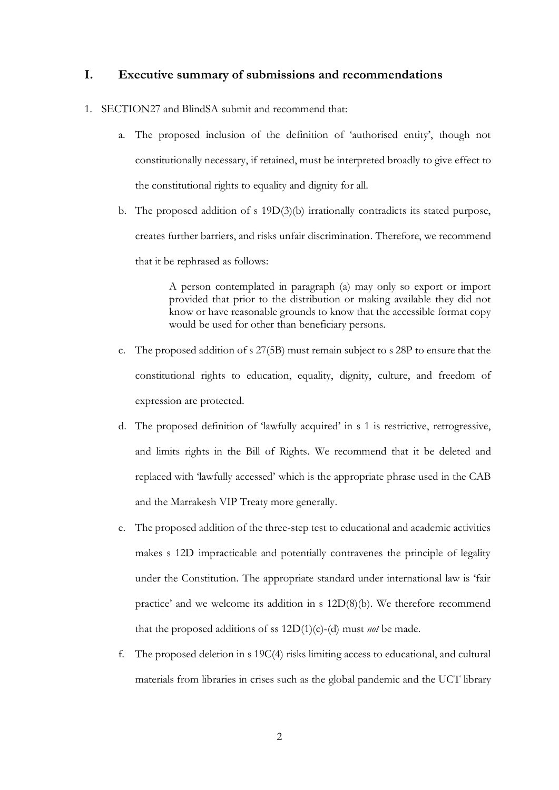## <span id="page-1-0"></span>**I. Executive summary of submissions and recommendations**

- 1. SECTION27 and BlindSA submit and recommend that:
	- a. The proposed inclusion of the definition of 'authorised entity', though not constitutionally necessary, if retained, must be interpreted broadly to give effect to the constitutional rights to equality and dignity for all.
	- b. The proposed addition of s 19D(3)(b) irrationally contradicts its stated purpose, creates further barriers, and risks unfair discrimination. Therefore, we recommend that it be rephrased as follows:

A person contemplated in paragraph (a) may only so export or import provided that prior to the distribution or making available they did not know or have reasonable grounds to know that the accessible format copy would be used for other than beneficiary persons.

- c. The proposed addition of s 27(5B) must remain subject to s 28P to ensure that the constitutional rights to education, equality, dignity, culture, and freedom of expression are protected.
- d. The proposed definition of 'lawfully acquired' in s 1 is restrictive, retrogressive, and limits rights in the Bill of Rights. We recommend that it be deleted and replaced with 'lawfully accessed' which is the appropriate phrase used in the CAB and the Marrakesh VIP Treaty more generally.
- e. The proposed addition of the three-step test to educational and academic activities makes s 12D impracticable and potentially contravenes the principle of legality under the Constitution. The appropriate standard under international law is 'fair practice' and we welcome its addition in s 12D(8)(b). We therefore recommend that the proposed additions of ss 12D(1)(c)-(d) must *not* be made.
- f. The proposed deletion in s 19C(4) risks limiting access to educational, and cultural materials from libraries in crises such as the global pandemic and the UCT library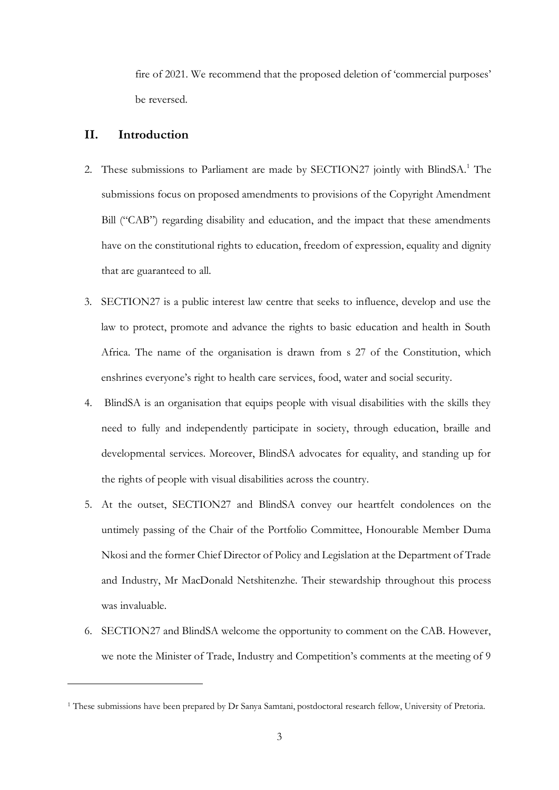fire of 2021. We recommend that the proposed deletion of 'commercial purposes' be reversed.

### <span id="page-2-0"></span>**II. Introduction**

- 2. These submissions to Parliament are made by SECTION27 jointly with BlindSA.<sup>1</sup> The submissions focus on proposed amendments to provisions of the Copyright Amendment Bill ("CAB") regarding disability and education, and the impact that these amendments have on the constitutional rights to education, freedom of expression, equality and dignity that are guaranteed to all.
- 3. SECTION27 is a public interest law centre that seeks to influence, develop and use the law to protect, promote and advance the rights to basic education and health in South Africa. The name of the organisation is drawn from s 27 of the Constitution, which enshrines everyone's right to health care services, food, water and social security.
- 4. BlindSA is an organisation that equips people with visual disabilities with the skills they need to fully and independently participate in society, through education, braille and developmental services. Moreover, BlindSA advocates for equality, and standing up for the rights of people with visual disabilities across the country.
- 5. At the outset, SECTION27 and BlindSA convey our heartfelt condolences on the untimely passing of the Chair of the Portfolio Committee, Honourable Member Duma Nkosi and the former Chief Director of Policy and Legislation at the Department of Trade and Industry, Mr MacDonald Netshitenzhe. Their stewardship throughout this process was invaluable.
- 6. SECTION27 and BlindSA welcome the opportunity to comment on the CAB. However, we note the Minister of Trade, Industry and Competition's comments at the meeting of 9

<sup>1</sup> These submissions have been prepared by Dr Sanya Samtani, postdoctoral research fellow, University of Pretoria.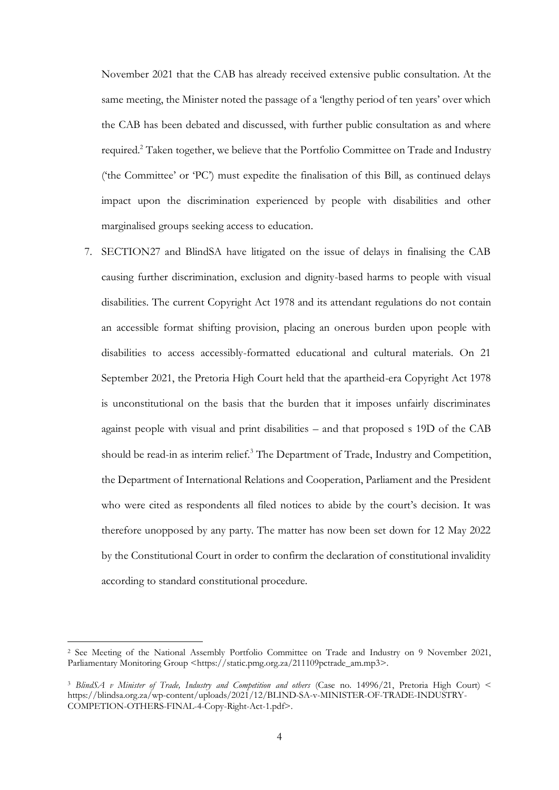November 2021 that the CAB has already received extensive public consultation. At the same meeting, the Minister noted the passage of a 'lengthy period of ten years' over which the CAB has been debated and discussed, with further public consultation as and where required.<sup>2</sup> Taken together, we believe that the Portfolio Committee on Trade and Industry ('the Committee' or 'PC') must expedite the finalisation of this Bill, as continued delays impact upon the discrimination experienced by people with disabilities and other marginalised groups seeking access to education.

7. SECTION27 and BlindSA have litigated on the issue of delays in finalising the CAB causing further discrimination, exclusion and dignity-based harms to people with visual disabilities. The current Copyright Act 1978 and its attendant regulations do not contain an accessible format shifting provision, placing an onerous burden upon people with disabilities to access accessibly-formatted educational and cultural materials. On 21 September 2021, the Pretoria High Court held that the apartheid-era Copyright Act 1978 is unconstitutional on the basis that the burden that it imposes unfairly discriminates against people with visual and print disabilities – and that proposed s 19D of the CAB should be read-in as interim relief.<sup>3</sup> The Department of Trade, Industry and Competition, the Department of International Relations and Cooperation, Parliament and the President who were cited as respondents all filed notices to abide by the court's decision. It was therefore unopposed by any party. The matter has now been set down for 12 May 2022 by the Constitutional Court in order to confirm the declaration of constitutional invalidity according to standard constitutional procedure.

<sup>2</sup> See Meeting of the National Assembly Portfolio Committee on Trade and Industry on 9 November 2021, Parliamentary Monitoring Group <https://static.pmg.org.za/211109pctrade\_am.mp3>.

<sup>3</sup> *BlindSA v Minister of Trade, Industry and Competition and others* (Case no. 14996/21, Pretoria High Court) < https://blindsa.org.za/wp-content/uploads/2021/12/BLIND-SA-v-MINISTER-OF-TRADE-INDUSTRY-COMPETION-OTHERS-FINAL-4-Copy-Right-Act-1.pdf>.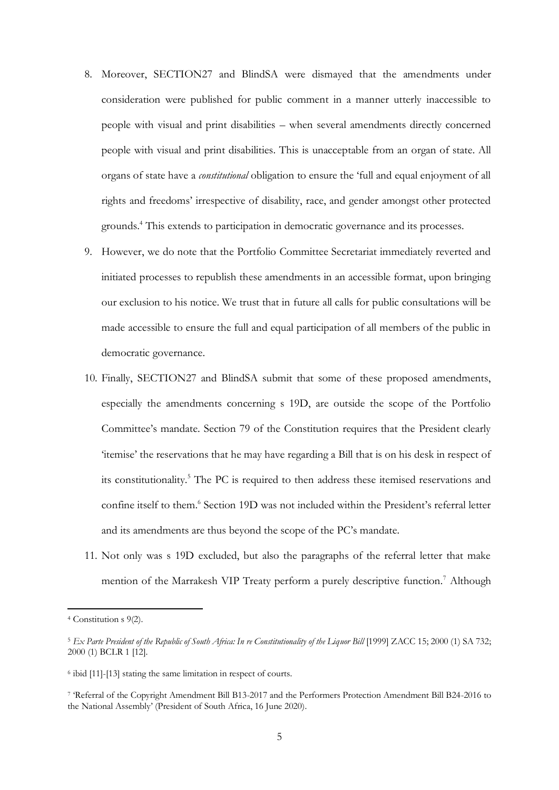- 8. Moreover, SECTION27 and BlindSA were dismayed that the amendments under consideration were published for public comment in a manner utterly inaccessible to people with visual and print disabilities – when several amendments directly concerned people with visual and print disabilities. This is unacceptable from an organ of state. All organs of state have a *constitutional* obligation to ensure the 'full and equal enjoyment of all rights and freedoms' irrespective of disability, race, and gender amongst other protected grounds.<sup>4</sup> This extends to participation in democratic governance and its processes.
- 9. However, we do note that the Portfolio Committee Secretariat immediately reverted and initiated processes to republish these amendments in an accessible format, upon bringing our exclusion to his notice. We trust that in future all calls for public consultations will be made accessible to ensure the full and equal participation of all members of the public in democratic governance.
- 10. Finally, SECTION27 and BlindSA submit that some of these proposed amendments, especially the amendments concerning s 19D, are outside the scope of the Portfolio Committee's mandate. Section 79 of the Constitution requires that the President clearly 'itemise' the reservations that he may have regarding a Bill that is on his desk in respect of its constitutionality.<sup>5</sup> The PC is required to then address these itemised reservations and confine itself to them.<sup>6</sup> Section 19D was not included within the President's referral letter and its amendments are thus beyond the scope of the PC's mandate.
- 11. Not only was s 19D excluded, but also the paragraphs of the referral letter that make mention of the Marrakesh VIP Treaty perform a purely descriptive function.<sup>7</sup> Although

<sup>4</sup> Constitution s 9(2).

<sup>5</sup> *Ex Parte President of the Republic of South Africa: In re Constitutionality of the Liquor Bill* [1999] ZACC 15; 2000 (1) SA 732; 2000 (1) BCLR 1 [12].

<sup>6</sup> ibid [11]-[13] stating the same limitation in respect of courts.

<sup>7</sup> 'Referral of the Copyright Amendment Bill B13-2017 and the Performers Protection Amendment Bill B24-2016 to the National Assembly' (President of South Africa, 16 June 2020).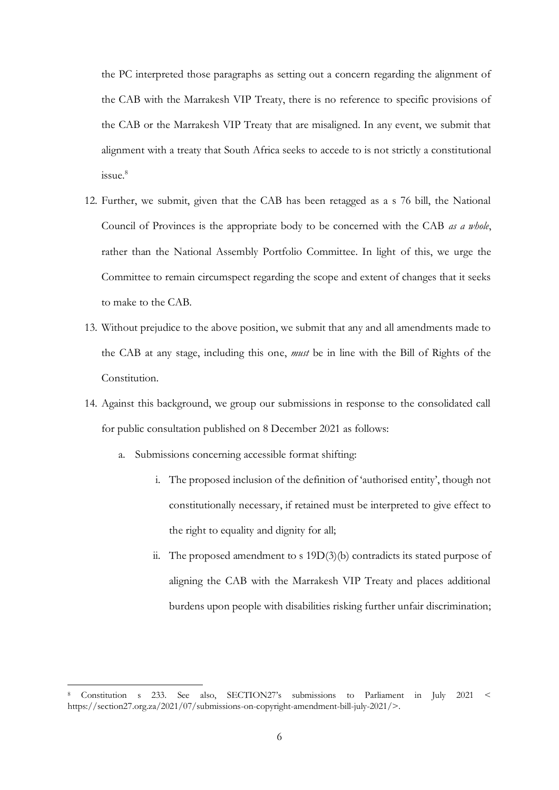the PC interpreted those paragraphs as setting out a concern regarding the alignment of the CAB with the Marrakesh VIP Treaty, there is no reference to specific provisions of the CAB or the Marrakesh VIP Treaty that are misaligned. In any event, we submit that alignment with a treaty that South Africa seeks to accede to is not strictly a constitutional issue.<sup>8</sup>

- 12. Further, we submit, given that the CAB has been retagged as a s 76 bill, the National Council of Provinces is the appropriate body to be concerned with the CAB *as a whole*, rather than the National Assembly Portfolio Committee. In light of this, we urge the Committee to remain circumspect regarding the scope and extent of changes that it seeks to make to the CAB.
- 13. Without prejudice to the above position, we submit that any and all amendments made to the CAB at any stage, including this one, *must* be in line with the Bill of Rights of the Constitution.
- 14. Against this background, we group our submissions in response to the consolidated call for public consultation published on 8 December 2021 as follows:
	- a. Submissions concerning accessible format shifting:
		- i. The proposed inclusion of the definition of 'authorised entity', though not constitutionally necessary, if retained must be interpreted to give effect to the right to equality and dignity for all;
		- ii. The proposed amendment to s 19D(3)(b) contradicts its stated purpose of aligning the CAB with the Marrakesh VIP Treaty and places additional burdens upon people with disabilities risking further unfair discrimination;

<sup>8</sup> Constitution s 233. See also, SECTION27's submissions to Parliament in July 2021 < https://section27.org.za/2021/07/submissions-on-copyright-amendment-bill-july-2021/>.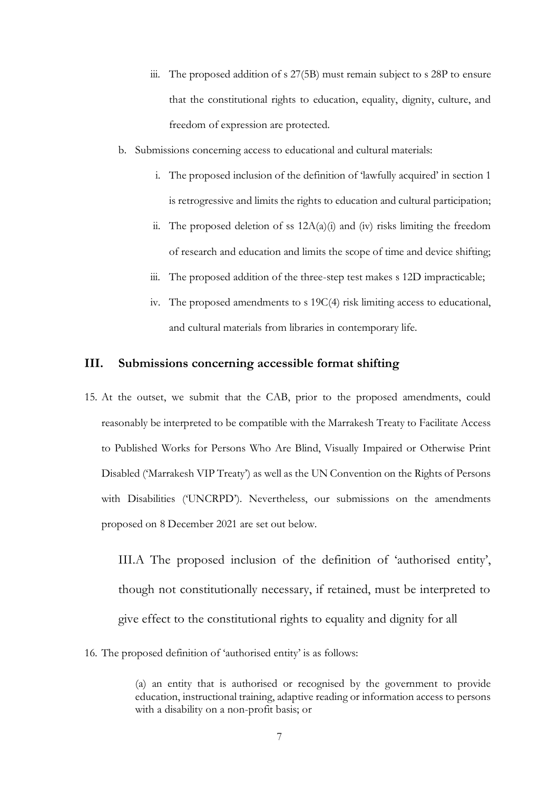- iii. The proposed addition of s 27(5B) must remain subject to s 28P to ensure that the constitutional rights to education, equality, dignity, culture, and freedom of expression are protected.
- b. Submissions concerning access to educational and cultural materials:
	- i. The proposed inclusion of the definition of 'lawfully acquired' in section 1 is retrogressive and limits the rights to education and cultural participation;
	- ii. The proposed deletion of ss  $12A(a)(i)$  and (iv) risks limiting the freedom of research and education and limits the scope of time and device shifting;
	- iii. The proposed addition of the three-step test makes s 12D impracticable;
	- iv. The proposed amendments to s 19C(4) risk limiting access to educational, and cultural materials from libraries in contemporary life.

#### <span id="page-6-0"></span>**III. Submissions concerning accessible format shifting**

15. At the outset, we submit that the CAB, prior to the proposed amendments, could reasonably be interpreted to be compatible with the Marrakesh Treaty to Facilitate Access to Published Works for Persons Who Are Blind, Visually Impaired or Otherwise Print Disabled ('Marrakesh VIP Treaty') as well as the UN Convention on the Rights of Persons with Disabilities ('UNCRPD'). Nevertheless, our submissions on the amendments proposed on 8 December 2021 are set out below.

<span id="page-6-1"></span>III.A The proposed inclusion of the definition of 'authorised entity', though not constitutionally necessary, if retained, must be interpreted to give effect to the constitutional rights to equality and dignity for all

16. The proposed definition of 'authorised entity' is as follows:

<sup>(</sup>a) an entity that is authorised or recognised by the government to provide education, instructional training, adaptive reading or information access to persons with a disability on a non-profit basis; or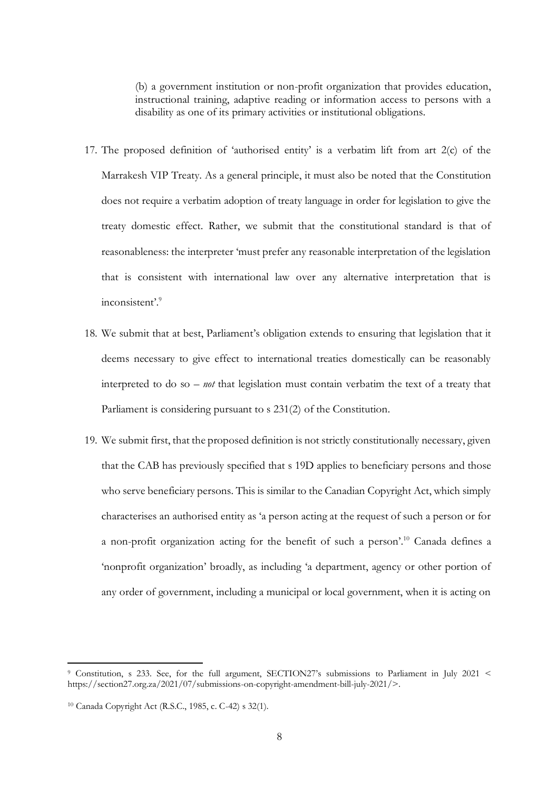(b) a government institution or non-profit organization that provides education, instructional training, adaptive reading or information access to persons with a disability as one of its primary activities or institutional obligations.

- 17. The proposed definition of 'authorised entity' is a verbatim lift from art 2(c) of the Marrakesh VIP Treaty. As a general principle, it must also be noted that the Constitution does not require a verbatim adoption of treaty language in order for legislation to give the treaty domestic effect. Rather, we submit that the constitutional standard is that of reasonableness: the interpreter 'must prefer any reasonable interpretation of the legislation that is consistent with international law over any alternative interpretation that is inconsistent'.<sup>9</sup>
- 18. We submit that at best, Parliament's obligation extends to ensuring that legislation that it deems necessary to give effect to international treaties domestically can be reasonably interpreted to do so – *not* that legislation must contain verbatim the text of a treaty that Parliament is considering pursuant to s 231(2) of the Constitution.
- 19. We submit first, that the proposed definition is not strictly constitutionally necessary, given that the CAB has previously specified that s 19D applies to beneficiary persons and those who serve beneficiary persons. This is similar to the Canadian Copyright Act, which simply characterises an authorised entity as 'a person acting at the request of such a person or for a non-profit organization acting for the benefit of such a person'.<sup>10</sup> Canada defines a 'nonprofit organization' broadly, as including 'a department, agency or other portion of any order of government, including a municipal or local government, when it is acting on

<sup>9</sup> Constitution, s 233. See, for the full argument, SECTION27's submissions to Parliament in July 2021 < https://section27.org.za/2021/07/submissions-on-copyright-amendment-bill-july-2021/>.

<sup>10</sup> Canada Copyright Act (R.S.C., 1985, c. C-42) s 32(1).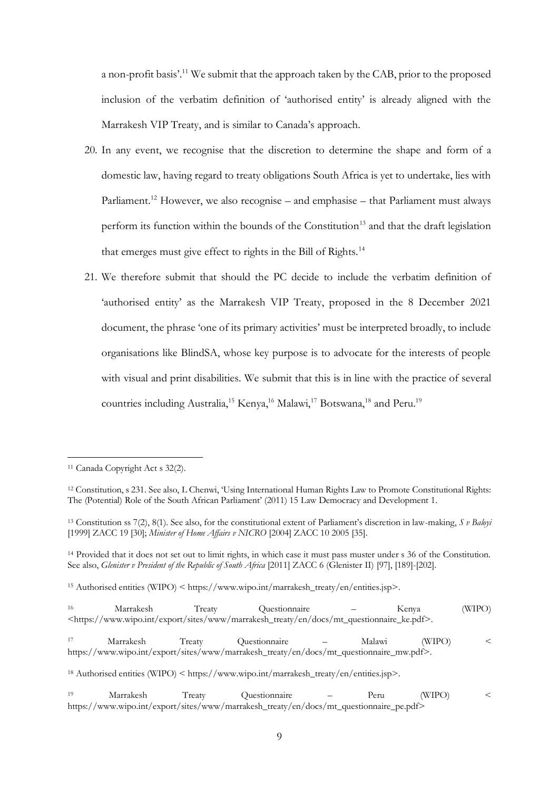a non-profit basis'.<sup>11</sup> We submit that the approach taken by the CAB, prior to the proposed inclusion of the verbatim definition of 'authorised entity' is already aligned with the Marrakesh VIP Treaty, and is similar to Canada's approach.

- 20. In any event, we recognise that the discretion to determine the shape and form of a domestic law, having regard to treaty obligations South Africa is yet to undertake, lies with Parliament.<sup>12</sup> However, we also recognise – and emphasise – that Parliament must always perform its function within the bounds of the Constitution<sup>13</sup> and that the draft legislation that emerges must give effect to rights in the Bill of Rights.<sup>14</sup>
- 21. We therefore submit that should the PC decide to include the verbatim definition of 'authorised entity' as the Marrakesh VIP Treaty, proposed in the 8 December 2021 document, the phrase 'one of its primary activities' must be interpreted broadly, to include organisations like BlindSA, whose key purpose is to advocate for the interests of people with visual and print disabilities. We submit that this is in line with the practice of several countries including Australia,<sup>15</sup> Kenya,<sup>16</sup> Malawi,<sup>17</sup> Botswana,<sup>18</sup> and Peru.<sup>19</sup>

<sup>15</sup> Authorised entities (WIPO) < https://www.wipo.int/marrakesh\_treaty/en/entities.jsp>.

| 16 | Marrakesh | Treaty | Ouestionnaire                                                                                                             |      | Kenya  | (WIPO) |
|----|-----------|--------|---------------------------------------------------------------------------------------------------------------------------|------|--------|--------|
|    |           |        | <https: docs="" en="" export="" marrakesh_treaty="" mt_questionnaire_ke.pdf="" sites="" www="" www.wipo.int="">.</https:> |      |        |        |
| 17 | Marrakesh | Treaty | Questionnaire — Malawi                                                                                                    |      | (WIPO) |        |
|    |           |        | https://www.wipo.int/export/sites/www/marrakesh_treaty/en/docs/mt_questionnaire_mw.pdf>.                                  |      |        |        |
|    |           |        | <sup>18</sup> Authorised entities (WIPO) < https://www.wipo.int/marrakesh_treaty/en/entities.jsp>.                        |      |        |        |
| 19 | Marrakesh | Treaty | Questionnaire –                                                                                                           | Peru | (WIPO) |        |
|    |           |        | https://www.wipo.int/export/sites/www/marrakesh_treaty/en/docs/mt_questionnaire_pe.pdf>                                   |      |        |        |

<sup>11</sup> Canada Copyright Act s 32(2).

<sup>12</sup> Constitution, s 231. See also, L Chenwi, 'Using International Human Rights Law to Promote Constitutional Rights: The (Potential) Role of the South African Parliament' (2011) 15 Law Democracy and Development 1.

<sup>13</sup> Constitution ss 7(2), 8(1). See also, for the constitutional extent of Parliament's discretion in law-making, *S v Baloyi*  [1999] ZACC 19 [30]; *Minister of Home Affairs v NICRO* [2004] ZACC 10 2005 [35].

<sup>14</sup> Provided that it does not set out to limit rights, in which case it must pass muster under s 36 of the Constitution. See also, *Glenister v President of the Republic of South Africa* [2011] ZACC 6 (Glenister II) [97], [189]-[202].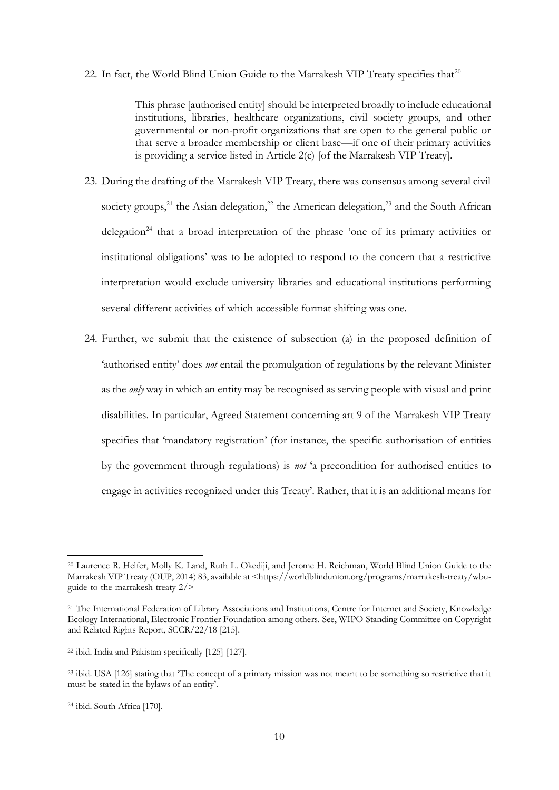#### 22. In fact, the World Blind Union Guide to the Marrakesh VIP Treaty specifies that $^{20}$

This phrase [authorised entity] should be interpreted broadly to include educational institutions, libraries, healthcare organizations, civil society groups, and other governmental or non-profit organizations that are open to the general public or that serve a broader membership or client base—if one of their primary activities is providing a service listed in Article 2(c) [of the Marrakesh VIP Treaty].

- 23. During the drafting of the Marrakesh VIP Treaty, there was consensus among several civil society groups,<sup>21</sup> the Asian delegation,<sup>22</sup> the American delegation,<sup>23</sup> and the South African delegation<sup>24</sup> that a broad interpretation of the phrase 'one of its primary activities or institutional obligations' was to be adopted to respond to the concern that a restrictive interpretation would exclude university libraries and educational institutions performing several different activities of which accessible format shifting was one.
- 24. Further, we submit that the existence of subsection (a) in the proposed definition of 'authorised entity' does *not* entail the promulgation of regulations by the relevant Minister as the *only* way in which an entity may be recognised as serving people with visual and print disabilities. In particular, Agreed Statement concerning art 9 of the Marrakesh VIP Treaty specifies that 'mandatory registration' (for instance, the specific authorisation of entities by the government through regulations) is *not* 'a precondition for authorised entities to engage in activities recognized under this Treaty'. Rather, that it is an additional means for

<sup>20</sup> Laurence R. Helfer, Molly K. Land, Ruth L. Okediji, and Jerome H. Reichman, World Blind Union Guide to the Marrakesh VIP Treaty (OUP, 2014) 83, available at <https://worldblindunion.org/programs/marrakesh-treaty/wbuguide-to-the-marrakesh-treaty-2/>

<sup>21</sup> The International Federation of Library Associations and Institutions, Centre for Internet and Society, Knowledge Ecology International, Electronic Frontier Foundation among others. See, WIPO Standing Committee on Copyright and Related Rights Report, SCCR/22/18 [215].

<sup>22</sup> ibid. India and Pakistan specifically [125]-[127].

<sup>&</sup>lt;sup>23</sup> ibid. USA [126] stating that 'The concept of a primary mission was not meant to be something so restrictive that it must be stated in the bylaws of an entity'.

<sup>24</sup> ibid. South Africa [170].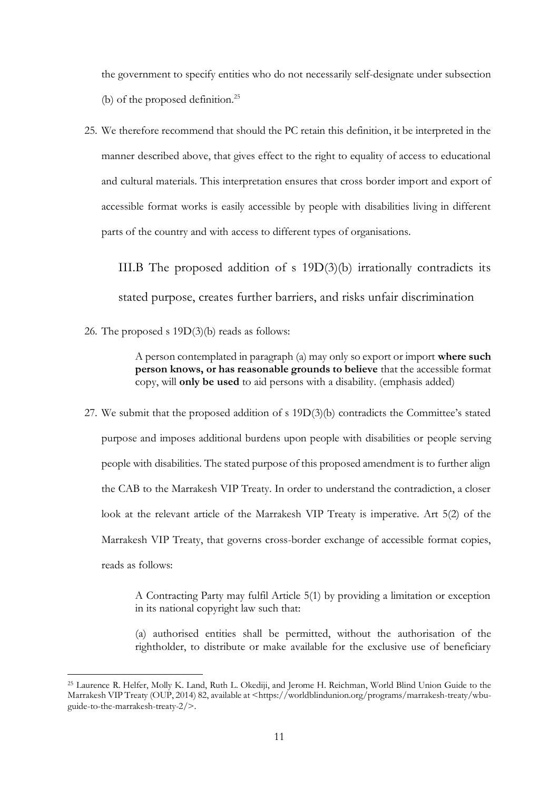the government to specify entities who do not necessarily self-designate under subsection (b) of the proposed definition.<sup>25</sup>

25. We therefore recommend that should the PC retain this definition, it be interpreted in the manner described above, that gives effect to the right to equality of access to educational and cultural materials. This interpretation ensures that cross border import and export of accessible format works is easily accessible by people with disabilities living in different parts of the country and with access to different types of organisations.

<span id="page-10-0"></span>III.B The proposed addition of s 19D(3)(b) irrationally contradicts its stated purpose, creates further barriers, and risks unfair discrimination

26. The proposed s 19D(3)(b) reads as follows:

A person contemplated in paragraph (a) may only so export or import **where such person knows, or has reasonable grounds to believe** that the accessible format copy, will **only be used** to aid persons with a disability. (emphasis added)

27. We submit that the proposed addition of s 19D(3)(b) contradicts the Committee's stated purpose and imposes additional burdens upon people with disabilities or people serving people with disabilities. The stated purpose of this proposed amendment is to further align the CAB to the Marrakesh VIP Treaty. In order to understand the contradiction, a closer look at the relevant article of the Marrakesh VIP Treaty is imperative. Art 5(2) of the Marrakesh VIP Treaty, that governs cross-border exchange of accessible format copies, reads as follows:

> A Contracting Party may fulfil Article 5(1) by providing a limitation or exception in its national copyright law such that:

> (a) authorised entities shall be permitted, without the authorisation of the rightholder, to distribute or make available for the exclusive use of beneficiary

<sup>25</sup> Laurence R. Helfer, Molly K. Land, Ruth L. Okediji, and Jerome H. Reichman, World Blind Union Guide to the Marrakesh VIP Treaty (OUP, 2014) 82, available at <https://worldblindunion.org/programs/marrakesh-treaty/wbuguide-to-the-marrakesh-treaty-2/>.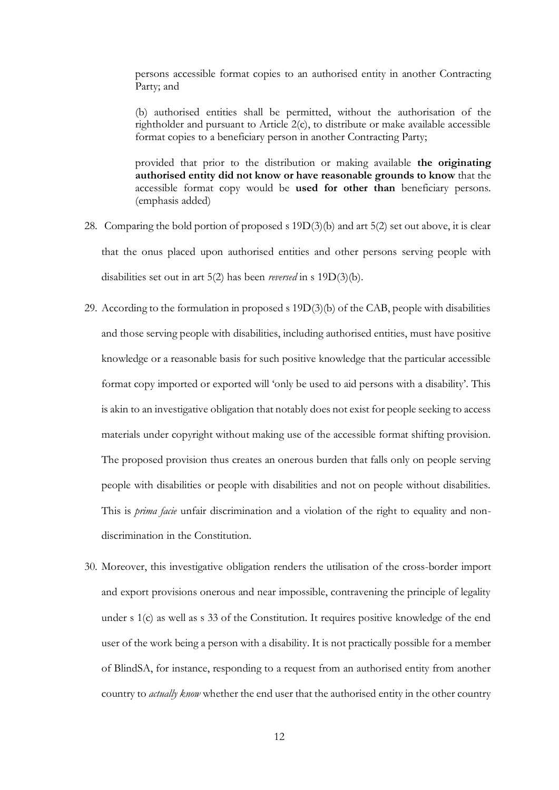persons accessible format copies to an authorised entity in another Contracting Party; and

(b) authorised entities shall be permitted, without the authorisation of the rightholder and pursuant to Article 2(c), to distribute or make available accessible format copies to a beneficiary person in another Contracting Party;

provided that prior to the distribution or making available **the originating authorised entity did not know or have reasonable grounds to know** that the accessible format copy would be **used for other than** beneficiary persons. (emphasis added)

- 28. Comparing the bold portion of proposed s 19D(3)(b) and art 5(2) set out above, it is clear that the onus placed upon authorised entities and other persons serving people with disabilities set out in art 5(2) has been *reversed* in s 19D(3)(b).
- 29. According to the formulation in proposed s 19D(3)(b) of the CAB, people with disabilities and those serving people with disabilities, including authorised entities, must have positive knowledge or a reasonable basis for such positive knowledge that the particular accessible format copy imported or exported will 'only be used to aid persons with a disability'. This is akin to an investigative obligation that notably does not exist for people seeking to access materials under copyright without making use of the accessible format shifting provision. The proposed provision thus creates an onerous burden that falls only on people serving people with disabilities or people with disabilities and not on people without disabilities. This is *prima facie* unfair discrimination and a violation of the right to equality and nondiscrimination in the Constitution.
- 30. Moreover, this investigative obligation renders the utilisation of the cross-border import and export provisions onerous and near impossible, contravening the principle of legality under s 1(c) as well as s 33 of the Constitution. It requires positive knowledge of the end user of the work being a person with a disability. It is not practically possible for a member of BlindSA, for instance, responding to a request from an authorised entity from another country to *actually know* whether the end user that the authorised entity in the other country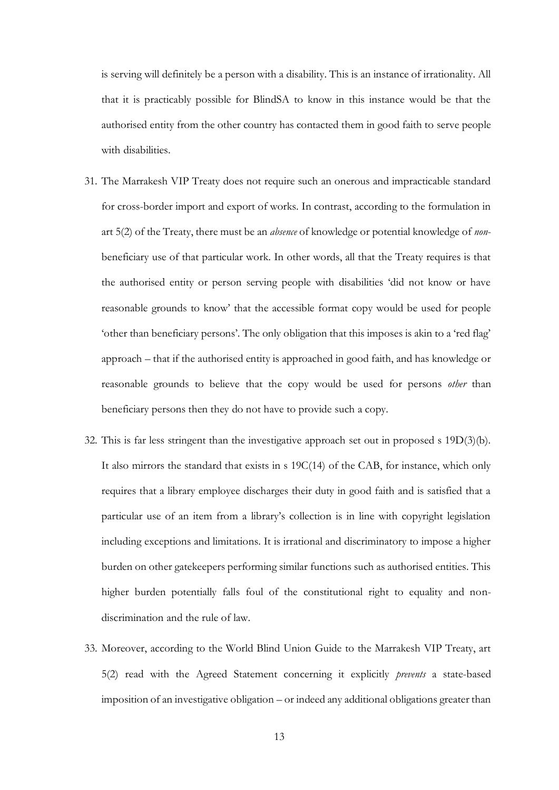is serving will definitely be a person with a disability. This is an instance of irrationality. All that it is practicably possible for BlindSA to know in this instance would be that the authorised entity from the other country has contacted them in good faith to serve people with disabilities.

- 31. The Marrakesh VIP Treaty does not require such an onerous and impracticable standard for cross-border import and export of works. In contrast, according to the formulation in art 5(2) of the Treaty, there must be an *absence* of knowledge or potential knowledge of *non*beneficiary use of that particular work. In other words, all that the Treaty requires is that the authorised entity or person serving people with disabilities 'did not know or have reasonable grounds to know' that the accessible format copy would be used for people 'other than beneficiary persons'. The only obligation that this imposes is akin to a 'red flag' approach – that if the authorised entity is approached in good faith, and has knowledge or reasonable grounds to believe that the copy would be used for persons *other* than beneficiary persons then they do not have to provide such a copy.
- 32. This is far less stringent than the investigative approach set out in proposed s 19D(3)(b). It also mirrors the standard that exists in s 19C(14) of the CAB, for instance, which only requires that a library employee discharges their duty in good faith and is satisfied that a particular use of an item from a library's collection is in line with copyright legislation including exceptions and limitations. It is irrational and discriminatory to impose a higher burden on other gatekeepers performing similar functions such as authorised entities. This higher burden potentially falls foul of the constitutional right to equality and nondiscrimination and the rule of law.
- 33. Moreover, according to the World Blind Union Guide to the Marrakesh VIP Treaty, art 5(2) read with the Agreed Statement concerning it explicitly *prevents* a state-based imposition of an investigative obligation – or indeed any additional obligations greater than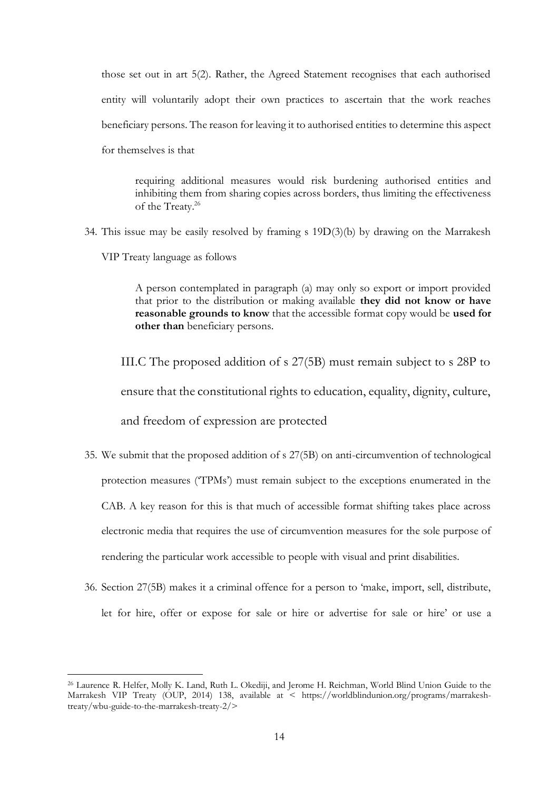those set out in art 5(2). Rather, the Agreed Statement recognises that each authorised entity will voluntarily adopt their own practices to ascertain that the work reaches beneficiary persons. The reason for leaving it to authorised entities to determine this aspect for themselves is that

requiring additional measures would risk burdening authorised entities and inhibiting them from sharing copies across borders, thus limiting the effectiveness of the Treaty.<sup>26</sup>

34. This issue may be easily resolved by framing s 19D(3)(b) by drawing on the Marrakesh VIP Treaty language as follows

> A person contemplated in paragraph (a) may only so export or import provided that prior to the distribution or making available **they did not know or have reasonable grounds to know** that the accessible format copy would be **used for other than** beneficiary persons.

<span id="page-13-0"></span>III.C The proposed addition of s 27(5B) must remain subject to s 28P to ensure that the constitutional rights to education, equality, dignity, culture, and freedom of expression are protected

- 35. We submit that the proposed addition of s 27(5B) on anti-circumvention of technological protection measures ('TPMs') must remain subject to the exceptions enumerated in the CAB. A key reason for this is that much of accessible format shifting takes place across electronic media that requires the use of circumvention measures for the sole purpose of rendering the particular work accessible to people with visual and print disabilities.
- 36. Section 27(5B) makes it a criminal offence for a person to 'make, import, sell, distribute, let for hire, offer or expose for sale or hire or advertise for sale or hire' or use a

<sup>26</sup> Laurence R. Helfer, Molly K. Land, Ruth L. Okediji, and Jerome H. Reichman, World Blind Union Guide to the Marrakesh VIP Treaty (OUP, 2014) 138, available at < https://worldblindunion.org/programs/marrakeshtreaty/wbu-guide-to-the-marrakesh-treaty-2/>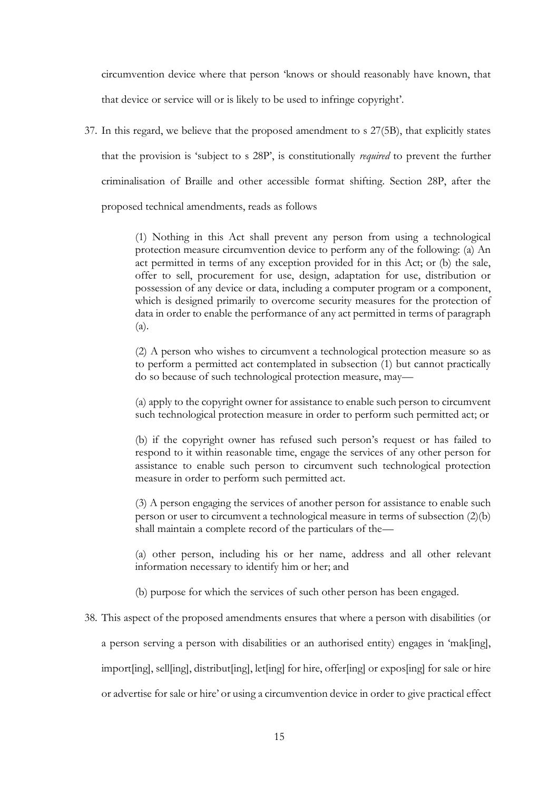circumvention device where that person 'knows or should reasonably have known, that that device or service will or is likely to be used to infringe copyright'.

37. In this regard, we believe that the proposed amendment to s 27(5B), that explicitly states that the provision is 'subject to s 28P', is constitutionally *required* to prevent the further criminalisation of Braille and other accessible format shifting. Section 28P, after the proposed technical amendments, reads as follows

> (1) Nothing in this Act shall prevent any person from using a technological protection measure circumvention device to perform any of the following: (a) An act permitted in terms of any exception provided for in this Act; or (b) the sale, offer to sell, procurement for use, design, adaptation for use, distribution or possession of any device or data, including a computer program or a component, which is designed primarily to overcome security measures for the protection of data in order to enable the performance of any act permitted in terms of paragraph (a).

> (2) A person who wishes to circumvent a technological protection measure so as to perform a permitted act contemplated in subsection (1) but cannot practically do so because of such technological protection measure, may—

> (a) apply to the copyright owner for assistance to enable such person to circumvent such technological protection measure in order to perform such permitted act; or

> (b) if the copyright owner has refused such person's request or has failed to respond to it within reasonable time, engage the services of any other person for assistance to enable such person to circumvent such technological protection measure in order to perform such permitted act.

> (3) A person engaging the services of another person for assistance to enable such person or user to circumvent a technological measure in terms of subsection (2)(b) shall maintain a complete record of the particulars of the—

> (a) other person, including his or her name, address and all other relevant information necessary to identify him or her; and

(b) purpose for which the services of such other person has been engaged.

38. This aspect of the proposed amendments ensures that where a person with disabilities (or

a person serving a person with disabilities or an authorised entity) engages in 'mak[ing],

import[ing], sell[ing], distribut[ing], let[ing] for hire, offer[ing] or expos[ing] for sale or hire

or advertise for sale or hire' or using a circumvention device in order to give practical effect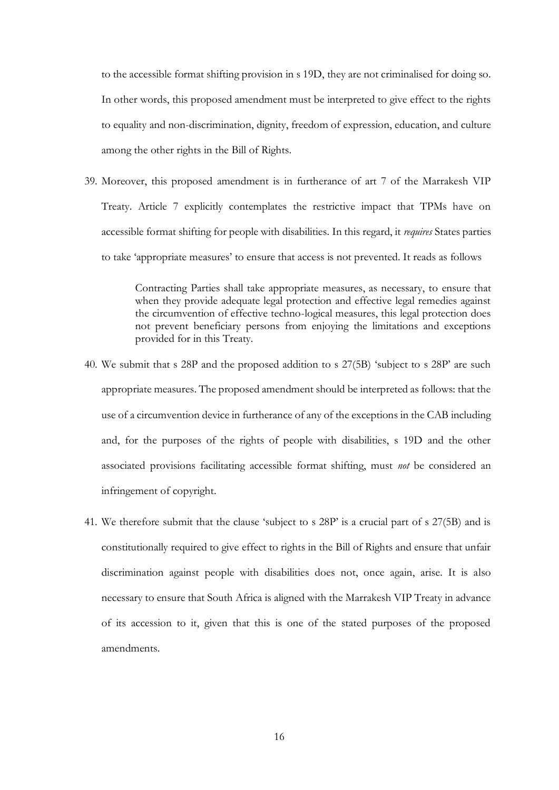to the accessible format shifting provision in s 19D, they are not criminalised for doing so. In other words, this proposed amendment must be interpreted to give effect to the rights to equality and non-discrimination, dignity, freedom of expression, education, and culture among the other rights in the Bill of Rights.

39. Moreover, this proposed amendment is in furtherance of art 7 of the Marrakesh VIP Treaty. Article 7 explicitly contemplates the restrictive impact that TPMs have on accessible format shifting for people with disabilities. In this regard, it *requires* States parties to take 'appropriate measures' to ensure that access is not prevented. It reads as follows

> Contracting Parties shall take appropriate measures, as necessary, to ensure that when they provide adequate legal protection and effective legal remedies against the circumvention of effective techno-logical measures, this legal protection does not prevent beneficiary persons from enjoying the limitations and exceptions provided for in this Treaty.

- 40. We submit that s 28P and the proposed addition to s 27(5B) 'subject to s 28P' are such appropriate measures. The proposed amendment should be interpreted as follows: that the use of a circumvention device in furtherance of any of the exceptions in the CAB including and, for the purposes of the rights of people with disabilities, s 19D and the other associated provisions facilitating accessible format shifting, must *not* be considered an infringement of copyright.
- 41. We therefore submit that the clause 'subject to s 28P' is a crucial part of s 27(5B) and is constitutionally required to give effect to rights in the Bill of Rights and ensure that unfair discrimination against people with disabilities does not, once again, arise. It is also necessary to ensure that South Africa is aligned with the Marrakesh VIP Treaty in advance of its accession to it, given that this is one of the stated purposes of the proposed amendments.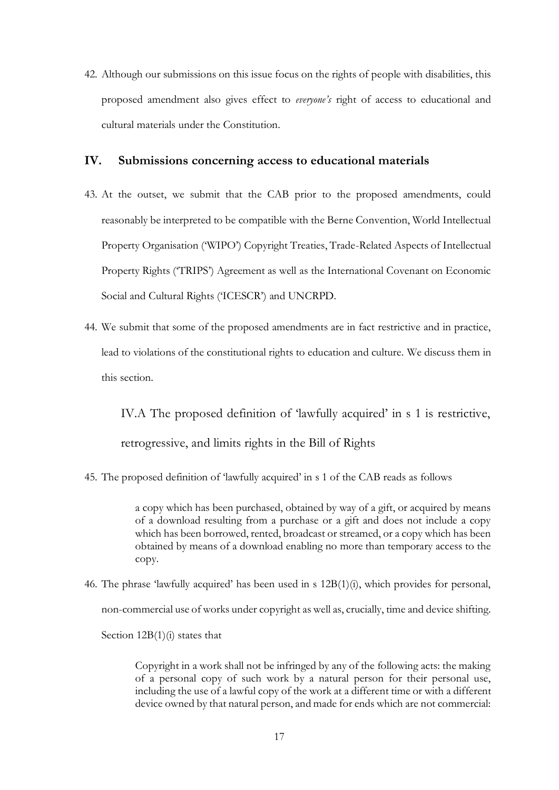42. Although our submissions on this issue focus on the rights of people with disabilities, this proposed amendment also gives effect to *everyone's* right of access to educational and cultural materials under the Constitution.

#### <span id="page-16-0"></span>**IV. Submissions concerning access to educational materials**

- 43. At the outset, we submit that the CAB prior to the proposed amendments, could reasonably be interpreted to be compatible with the Berne Convention, World Intellectual Property Organisation ('WIPO') Copyright Treaties, Trade-Related Aspects of Intellectual Property Rights ('TRIPS') Agreement as well as the International Covenant on Economic Social and Cultural Rights ('ICESCR') and UNCRPD.
- 44. We submit that some of the proposed amendments are in fact restrictive and in practice, lead to violations of the constitutional rights to education and culture. We discuss them in this section.

<span id="page-16-1"></span>IV.A The proposed definition of 'lawfully acquired' in s 1 is restrictive, retrogressive, and limits rights in the Bill of Rights

45. The proposed definition of 'lawfully acquired' in s 1 of the CAB reads as follows

a copy which has been purchased, obtained by way of a gift, or acquired by means of a download resulting from a purchase or a gift and does not include a copy which has been borrowed, rented, broadcast or streamed, or a copy which has been obtained by means of a download enabling no more than temporary access to the copy.

46. The phrase 'lawfully acquired' has been used in s 12B(1)(i), which provides for personal, non-commercial use of works under copyright as well as, crucially, time and device shifting. Section  $12B(1)(i)$  states that

> Copyright in a work shall not be infringed by any of the following acts: the making of a personal copy of such work by a natural person for their personal use, including the use of a lawful copy of the work at a different time or with a different device owned by that natural person, and made for ends which are not commercial: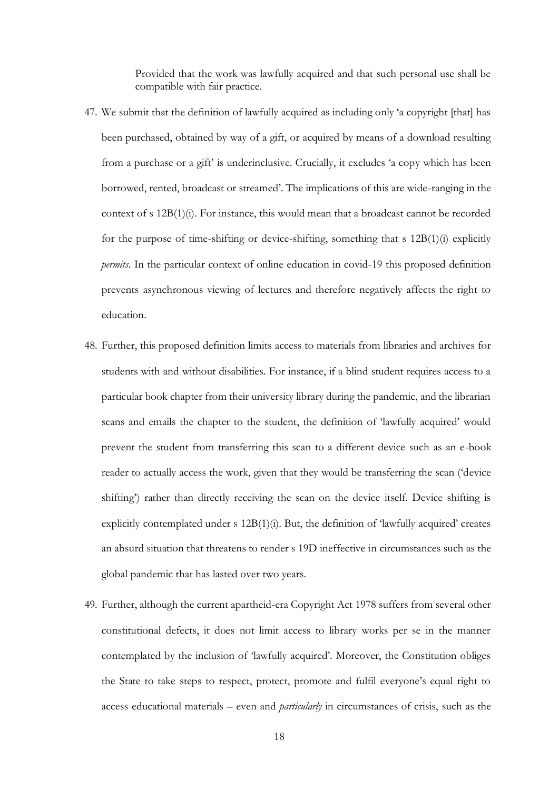Provided that the work was lawfully acquired and that such personal use shall be compatible with fair practice.

- 47. We submit that the definition of lawfully acquired as including only 'a copyright [that] has been purchased, obtained by way of a gift, or acquired by means of a download resulting from a purchase or a gift' is underinclusive. Crucially, it excludes 'a copy which has been borrowed, rented, broadcast or streamed'. The implications of this are wide-ranging in the context of s 12B(1)(i). For instance, this would mean that a broadcast cannot be recorded for the purpose of time-shifting or device-shifting, something that s 12B(1)(i) explicitly *permits*. In the particular context of online education in covid-19 this proposed definition prevents asynchronous viewing of lectures and therefore negatively affects the right to education.
- 48. Further, this proposed definition limits access to materials from libraries and archives for students with and without disabilities. For instance, if a blind student requires access to a particular book chapter from their university library during the pandemic, and the librarian scans and emails the chapter to the student, the definition of 'lawfully acquired' would prevent the student from transferring this scan to a different device such as an e-book reader to actually access the work, given that they would be transferring the scan ('device shifting') rather than directly receiving the scan on the device itself. Device shifting is explicitly contemplated under s 12B(1)(i). But, the definition of 'lawfully acquired' creates an absurd situation that threatens to render s 19D ineffective in circumstances such as the global pandemic that has lasted over two years.
- 49. Further, although the current apartheid-era Copyright Act 1978 suffers from several other constitutional defects, it does not limit access to library works per se in the manner contemplated by the inclusion of 'lawfully acquired'. Moreover, the Constitution obliges the State to take steps to respect, protect, promote and fulfil everyone's equal right to access educational materials – even and *particularly* in circumstances of crisis, such as the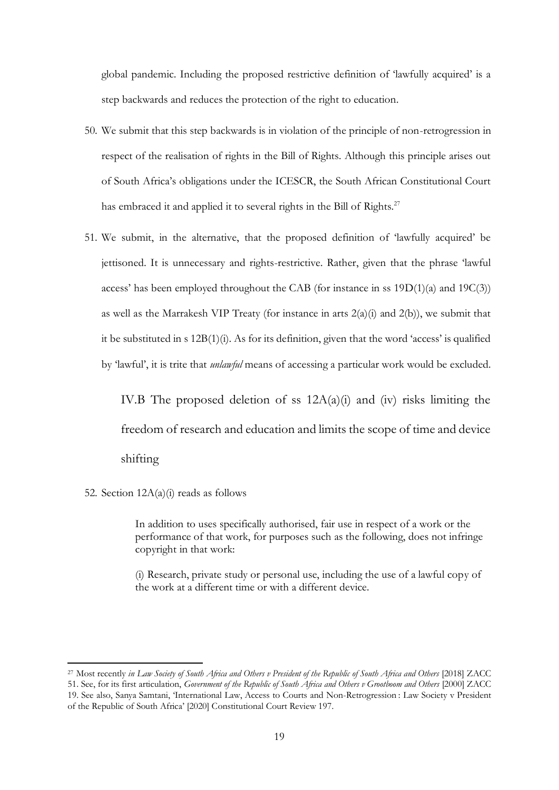global pandemic. Including the proposed restrictive definition of 'lawfully acquired' is a step backwards and reduces the protection of the right to education.

- 50. We submit that this step backwards is in violation of the principle of non-retrogression in respect of the realisation of rights in the Bill of Rights. Although this principle arises out of South Africa's obligations under the ICESCR, the South African Constitutional Court has embraced it and applied it to several rights in the Bill of Rights.<sup>27</sup>
- 51. We submit, in the alternative, that the proposed definition of 'lawfully acquired' be jettisoned. It is unnecessary and rights-restrictive. Rather, given that the phrase 'lawful access' has been employed throughout the CAB (for instance in ss 19D(1)(a) and 19C(3)) as well as the Marrakesh VIP Treaty (for instance in arts  $2(a)(i)$  and  $2(b)$ ), we submit that it be substituted in s 12B(1)(i). As for its definition, given that the word 'access' is qualified by 'lawful', it is trite that *unlawful* means of accessing a particular work would be excluded.

<span id="page-18-0"></span>IV.B The proposed deletion of ss  $12A(a)(i)$  and (iv) risks limiting the freedom of research and education and limits the scope of time and device shifting

52. Section  $12A(a)(i)$  reads as follows

In addition to uses specifically authorised, fair use in respect of a work or the performance of that work, for purposes such as the following, does not infringe copyright in that work:

(i) Research, private study or personal use, including the use of a lawful copy of the work at a different time or with a different device.

<sup>27</sup> Most recently *in Law Society of South Africa and Others v President of the Republic of South Africa and Others* [2018] ZACC 51. See, for its first articulation, *Government of the Republic of South Africa and Others v Grootboom and Others* [2000] ZACC 19. See also, Sanya Samtani, 'International Law, Access to Courts and Non-Retrogression : Law Society v President of the Republic of South Africa' [2020] Constitutional Court Review 197.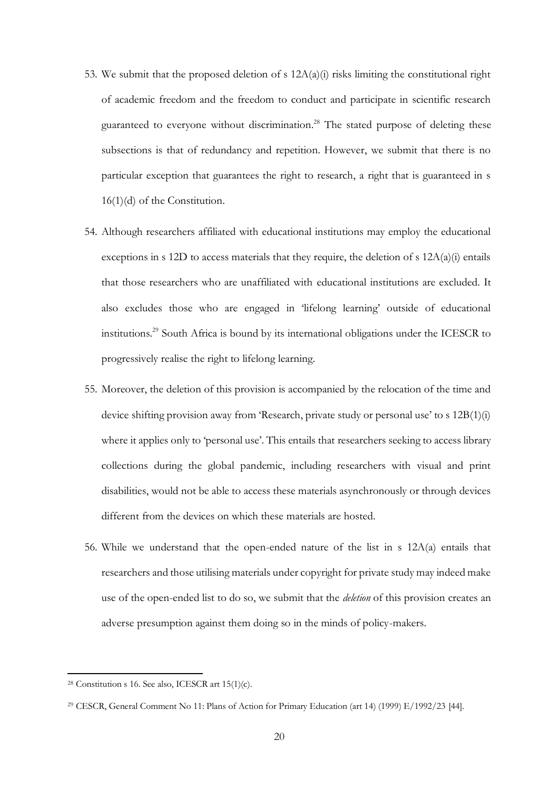- 53. We submit that the proposed deletion of s  $12A(a)(i)$  risks limiting the constitutional right of academic freedom and the freedom to conduct and participate in scientific research guaranteed to everyone without discrimination.<sup>28</sup> The stated purpose of deleting these subsections is that of redundancy and repetition. However, we submit that there is no particular exception that guarantees the right to research, a right that is guaranteed in s 16(1)(d) of the Constitution.
- 54. Although researchers affiliated with educational institutions may employ the educational exceptions in s 12D to access materials that they require, the deletion of s  $12A(a)(i)$  entails that those researchers who are unaffiliated with educational institutions are excluded. It also excludes those who are engaged in 'lifelong learning' outside of educational institutions.<sup>29</sup> South Africa is bound by its international obligations under the ICESCR to progressively realise the right to lifelong learning.
- 55. Moreover, the deletion of this provision is accompanied by the relocation of the time and device shifting provision away from 'Research, private study or personal use' to s 12B(1)(i) where it applies only to 'personal use'. This entails that researchers seeking to access library collections during the global pandemic, including researchers with visual and print disabilities, would not be able to access these materials asynchronously or through devices different from the devices on which these materials are hosted.
- 56. While we understand that the open-ended nature of the list in s 12A(a) entails that researchers and those utilising materials under copyright for private study may indeed make use of the open-ended list to do so, we submit that the *deletion* of this provision creates an adverse presumption against them doing so in the minds of policy-makers.

<sup>&</sup>lt;sup>28</sup> Constitution s 16. See also, ICESCR art  $15(1)(c)$ .

<sup>29</sup> CESCR, General Comment No 11: Plans of Action for Primary Education (art 14) (1999) E/1992/23 [44].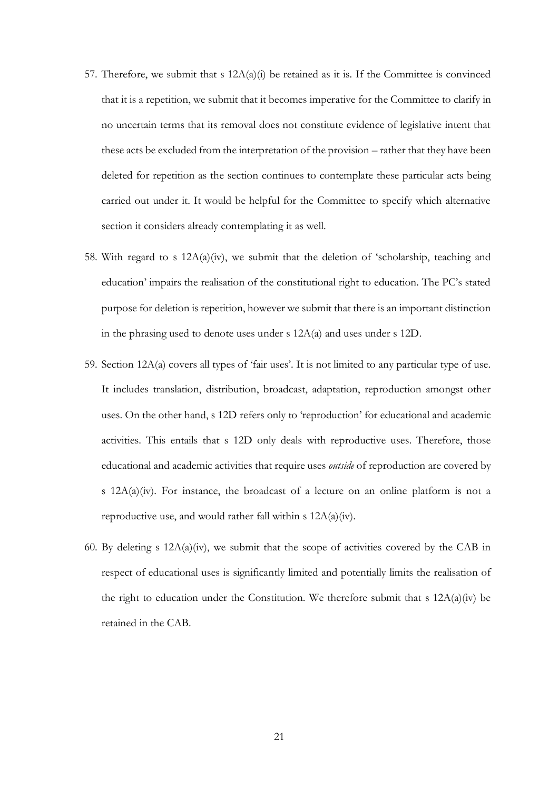- 57. Therefore, we submit that s  $12A(a)(i)$  be retained as it is. If the Committee is convinced that it is a repetition, we submit that it becomes imperative for the Committee to clarify in no uncertain terms that its removal does not constitute evidence of legislative intent that these acts be excluded from the interpretation of the provision – rather that they have been deleted for repetition as the section continues to contemplate these particular acts being carried out under it. It would be helpful for the Committee to specify which alternative section it considers already contemplating it as well.
- 58. With regard to s  $12A(a)(iv)$ , we submit that the deletion of 'scholarship, teaching and education' impairs the realisation of the constitutional right to education. The PC's stated purpose for deletion is repetition, however we submit that there is an important distinction in the phrasing used to denote uses under s 12A(a) and uses under s 12D.
- 59. Section 12A(a) covers all types of 'fair uses'. It is not limited to any particular type of use. It includes translation, distribution, broadcast, adaptation, reproduction amongst other uses. On the other hand, s 12D refers only to 'reproduction' for educational and academic activities. This entails that s 12D only deals with reproductive uses. Therefore, those educational and academic activities that require uses *outside* of reproduction are covered by s 12A(a)(iv). For instance, the broadcast of a lecture on an online platform is not a reproductive use, and would rather fall within s 12A(a)(iv).
- 60. By deleting s 12A(a)(iv), we submit that the scope of activities covered by the CAB in respect of educational uses is significantly limited and potentially limits the realisation of the right to education under the Constitution. We therefore submit that s  $12A(a)(iv)$  be retained in the CAB.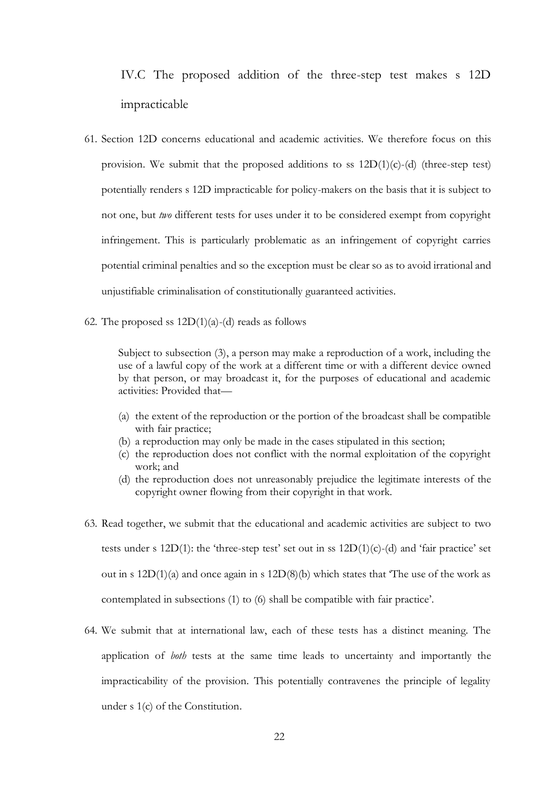<span id="page-21-0"></span>IV.C The proposed addition of the three-step test makes s 12D impracticable

- 61. Section 12D concerns educational and academic activities. We therefore focus on this provision. We submit that the proposed additions to ss  $12D(1)(c)$ -(d) (three-step test) potentially renders s 12D impracticable for policy-makers on the basis that it is subject to not one, but *two* different tests for uses under it to be considered exempt from copyright infringement. This is particularly problematic as an infringement of copyright carries potential criminal penalties and so the exception must be clear so as to avoid irrational and unjustifiable criminalisation of constitutionally guaranteed activities.
- 62. The proposed ss  $12D(1)(a)$ -(d) reads as follows

Subject to subsection (3), a person may make a reproduction of a work, including the use of a lawful copy of the work at a different time or with a different device owned by that person, or may broadcast it, for the purposes of educational and academic activities: Provided that—

- (a) the extent of the reproduction or the portion of the broadcast shall be compatible with fair practice;
- (b) a reproduction may only be made in the cases stipulated in this section;
- (c) the reproduction does not conflict with the normal exploitation of the copyright work; and
- (d) the reproduction does not unreasonably prejudice the legitimate interests of the copyright owner flowing from their copyright in that work.
- 63. Read together, we submit that the educational and academic activities are subject to two tests under s  $12D(1)$ : the 'three-step test' set out in ss  $12D(1)(c)$ -(d) and 'fair practice' set out in s  $12D(1)(a)$  and once again in s  $12D(8)(b)$  which states that The use of the work as contemplated in subsections (1) to (6) shall be compatible with fair practice'.
- 64. We submit that at international law, each of these tests has a distinct meaning. The application of *both* tests at the same time leads to uncertainty and importantly the impracticability of the provision. This potentially contravenes the principle of legality under s 1(c) of the Constitution.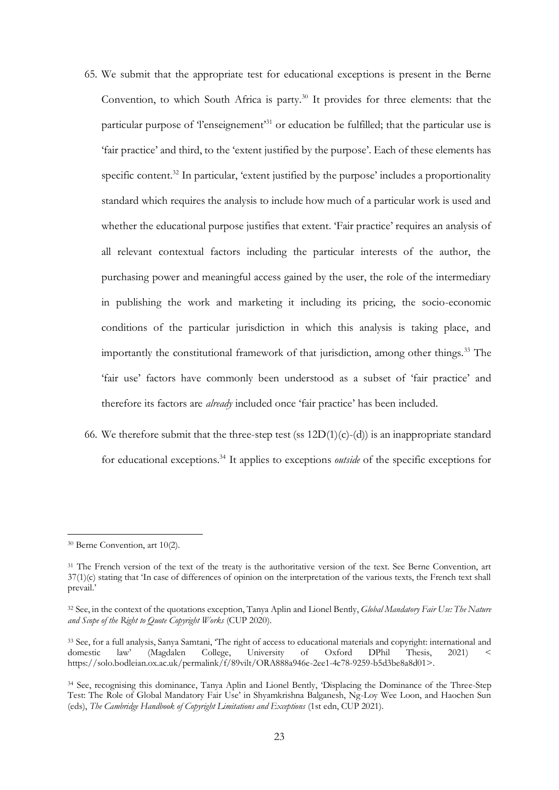- 65. We submit that the appropriate test for educational exceptions is present in the Berne Convention, to which South Africa is party.<sup>30</sup> It provides for three elements: that the particular purpose of 'l'enseignement'<sup>31</sup> or education be fulfilled; that the particular use is 'fair practice' and third, to the 'extent justified by the purpose'. Each of these elements has specific content.<sup>32</sup> In particular, 'extent justified by the purpose' includes a proportionality standard which requires the analysis to include how much of a particular work is used and whether the educational purpose justifies that extent. 'Fair practice' requires an analysis of all relevant contextual factors including the particular interests of the author, the purchasing power and meaningful access gained by the user, the role of the intermediary in publishing the work and marketing it including its pricing, the socio-economic conditions of the particular jurisdiction in which this analysis is taking place, and importantly the constitutional framework of that jurisdiction, among other things.<sup>33</sup> The 'fair use' factors have commonly been understood as a subset of 'fair practice' and therefore its factors are *already* included once 'fair practice' has been included.
- 66. We therefore submit that the three-step test (ss  $12D(1)(c)-(d)$ ) is an inappropriate standard for educational exceptions.<sup>34</sup> It applies to exceptions *outside* of the specific exceptions for

<sup>30</sup> Berne Convention, art 10(2).

<sup>&</sup>lt;sup>31</sup> The French version of the text of the treaty is the authoritative version of the text. See Berne Convention, art 37(1)(c) stating that 'In case of differences of opinion on the interpretation of the various texts, the French text shall prevail.'

<sup>32</sup> See, in the context of the quotations exception, Tanya Aplin and Lionel Bently, *Global Mandatory Fair Use: The Nature and Scope of the Right to Quote Copyright Works* (CUP 2020).

<sup>33</sup> See, for a full analysis, Sanya Samtani, 'The right of access to educational materials and copyright: international and domestic law' (Magdalen College, University of Oxford DPhil Thesis, 2021) < https://solo.bodleian.ox.ac.uk/permalink/f/89vilt/ORA888a946e-2ee1-4c78-9259-b5d3be8a8d01>.

<sup>34</sup> See, recognising this dominance, Tanya Aplin and Lionel Bently, 'Displacing the Dominance of the Three-Step Test: The Role of Global Mandatory Fair Use' in Shyamkrishna Balganesh, Ng-Loy Wee Loon, and Haochen Sun (eds), *The Cambridge Handbook of Copyright Limitations and Exceptions* (1st edn, CUP 2021).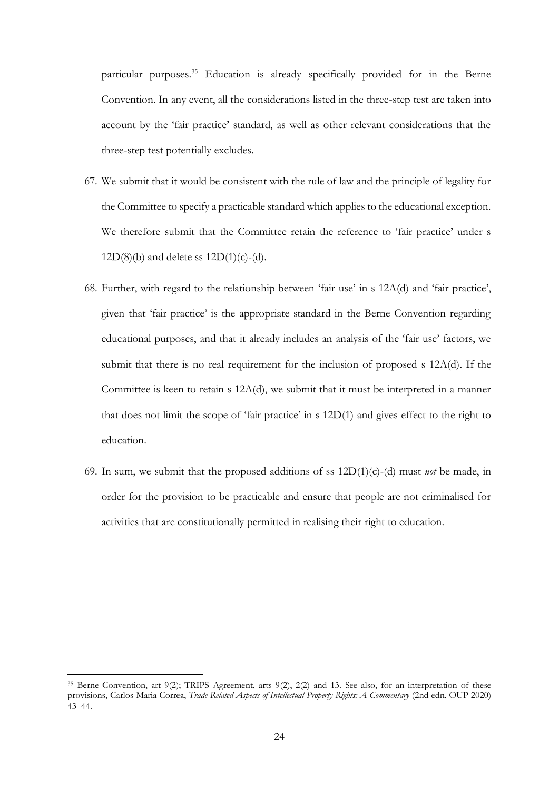particular purposes.<sup>35</sup> Education is already specifically provided for in the Berne Convention. In any event, all the considerations listed in the three-step test are taken into account by the 'fair practice' standard, as well as other relevant considerations that the three-step test potentially excludes.

- 67. We submit that it would be consistent with the rule of law and the principle of legality for the Committee to specify a practicable standard which applies to the educational exception. We therefore submit that the Committee retain the reference to 'fair practice' under s  $12D(8)(b)$  and delete ss  $12D(1)(c)-(d)$ .
- 68. Further, with regard to the relationship between 'fair use' in s 12A(d) and 'fair practice', given that 'fair practice' is the appropriate standard in the Berne Convention regarding educational purposes, and that it already includes an analysis of the 'fair use' factors, we submit that there is no real requirement for the inclusion of proposed s 12A(d). If the Committee is keen to retain s 12A(d), we submit that it must be interpreted in a manner that does not limit the scope of 'fair practice' in s 12D(1) and gives effect to the right to education.
- 69. In sum, we submit that the proposed additions of ss  $12D(1)(c)-(d)$  must *not* be made, in order for the provision to be practicable and ensure that people are not criminalised for activities that are constitutionally permitted in realising their right to education.

<sup>&</sup>lt;sup>35</sup> Berne Convention, art 9(2); TRIPS Agreement, arts 9(2), 2(2) and 13. See also, for an interpretation of these provisions, Carlos Maria Correa, *Trade Related Aspects of Intellectual Property Rights: A Commentary* (2nd edn, OUP 2020) 43–44.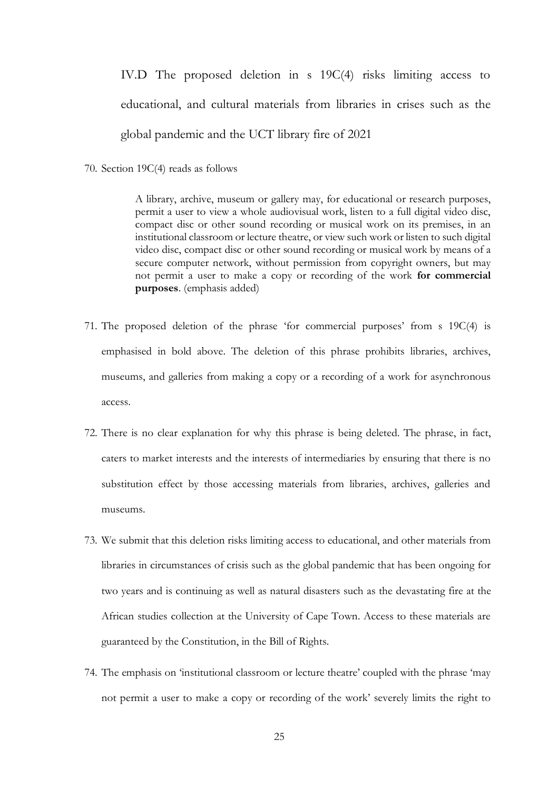<span id="page-24-0"></span>IV.D The proposed deletion in s 19C(4) risks limiting access to educational, and cultural materials from libraries in crises such as the global pandemic and the UCT library fire of 2021

70. Section 19C(4) reads as follows

A library, archive, museum or gallery may, for educational or research purposes, permit a user to view a whole audiovisual work, listen to a full digital video disc, compact disc or other sound recording or musical work on its premises, in an institutional classroom or lecture theatre, or view such work or listen to such digital video disc, compact disc or other sound recording or musical work by means of a secure computer network, without permission from copyright owners, but may not permit a user to make a copy or recording of the work **for commercial purposes**. (emphasis added)

- 71. The proposed deletion of the phrase 'for commercial purposes' from s 19C(4) is emphasised in bold above. The deletion of this phrase prohibits libraries, archives, museums, and galleries from making a copy or a recording of a work for asynchronous access.
- 72. There is no clear explanation for why this phrase is being deleted. The phrase, in fact, caters to market interests and the interests of intermediaries by ensuring that there is no substitution effect by those accessing materials from libraries, archives, galleries and museums.
- 73. We submit that this deletion risks limiting access to educational, and other materials from libraries in circumstances of crisis such as the global pandemic that has been ongoing for two years and is continuing as well as natural disasters such as the devastating fire at the African studies collection at the University of Cape Town. Access to these materials are guaranteed by the Constitution, in the Bill of Rights.
- 74. The emphasis on 'institutional classroom or lecture theatre' coupled with the phrase 'may not permit a user to make a copy or recording of the work' severely limits the right to